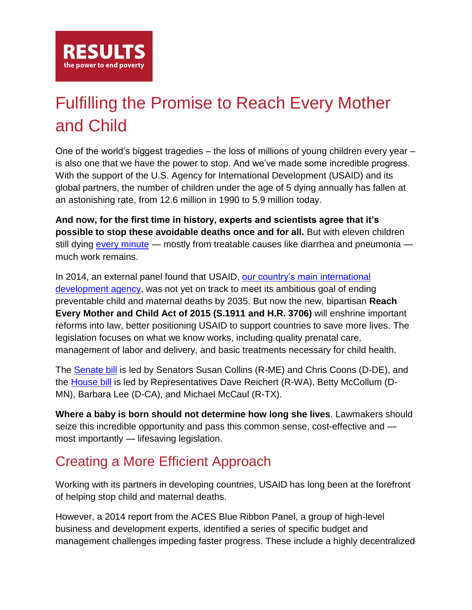

## Fulfilling the Promise to Reach Every Mother and Child

One of the world's biggest tragedies – the loss of millions of young children every year – is also one that we have the power to stop. And we've made some incredible progress. With the support of the U.S. Agency for International Development (USAID) and its global partners, the number of children under the age of 5 dying annually has fallen at an astonishing rate, from 12.6 million in 1990 to 5.9 million today.

**And now, for the first time in history, experts and scientists agree that it's possible to stop these avoidable deaths once and for all.** But with eleven children still dying [every minute](http://www.apromiserenewed.org/APR_2014_web_15Sept14.pdf) — mostly from treatable causes like diarrhea and pneumonia much work remains.

In 2014, an external panel found that USAID, [our country's main international](http://www.usaid.gov/who-we-are)  [development](http://www.usaid.gov/who-we-are) agency, was not yet on track to meet its ambitious goal of ending preventable child and maternal deaths by 2035. But now the new, bipartisan **Reach Every Mother and Child Act of 2015 (S.1911 and H.R. 3706)** will enshrine important reforms into law, better positioning USAID to support countries to save more lives. The legislation focuses on what we know works, including quality prenatal care, management of labor and delivery, and basic treatments necessary for child health.

The [Senate bill](https://www.congress.gov/bill/114th-congress/senate-bill/1911?q=%7b%22search%22%3A%5b%22/%22s1911/%22%22%5d%7d&resultIndex=1) is led by Senators Susan Collins (R-ME) and Chris Coons (D-DE), and the [House bill](https://www.congress.gov/bill/114th-congress/house-bill/3706?q=%7b%22search%22%3A%5b%22/%22hr3706/%22%22%5d%7d&resultIndex=1) is led by Representatives Dave Reichert (R-WA), Betty McCollum (D-MN), Barbara Lee (D-CA), and Michael McCaul (R-TX).

**Where a baby is born should not determine how long she lives**. Lawmakers should seize this incredible opportunity and pass this common sense, cost-effective and most importantly — lifesaving legislation.

## Creating a More Efficient Approach

Working with its partners in developing countries, USAID has long been at the forefront of helping stop child and maternal deaths.

However, a 2014 report from the ACES Blue Ribbon Panel, a group of high-level business and development experts, identified a series of specific budget and management challenges impeding faster progress. These include a highly decentralized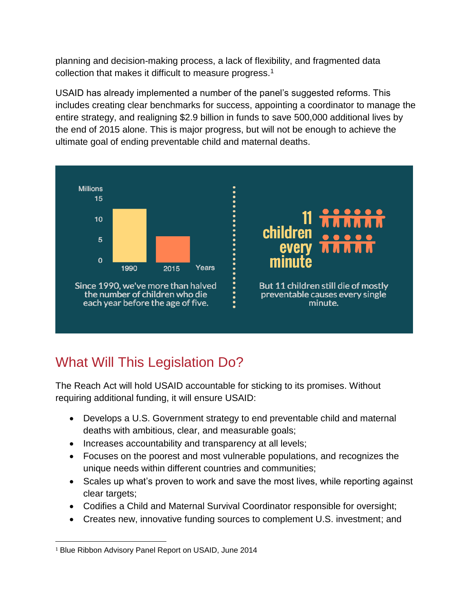planning and decision-making process, a lack of flexibility, and fragmented data collection that makes it difficult to measure progress.<sup>1</sup>

USAID has already implemented a number of the panel's suggested reforms. This includes creating clear benchmarks for success, appointing a coordinator to manage the entire strategy, and realigning \$2.9 billion in funds to save 500,000 additional lives by the end of 2015 alone. This is major progress, but will not be enough to achieve the ultimate goal of ending preventable child and maternal deaths.



## What Will This Legislation Do?

The Reach Act will hold USAID accountable for sticking to its promises. Without requiring additional funding, it will ensure USAID:

- Develops a U.S. Government strategy to end preventable child and maternal deaths with ambitious, clear, and measurable goals;
- Increases accountability and transparency at all levels;
- Focuses on the poorest and most vulnerable populations, and recognizes the unique needs within different countries and communities;
- Scales up what's proven to work and save the most lives, while reporting against clear targets;
- Codifies a Child and Maternal Survival Coordinator responsible for oversight;
- Creates new, innovative funding sources to complement U.S. investment; and

l <sup>1</sup> Blue Ribbon Advisory Panel Report on USAID, June 2014